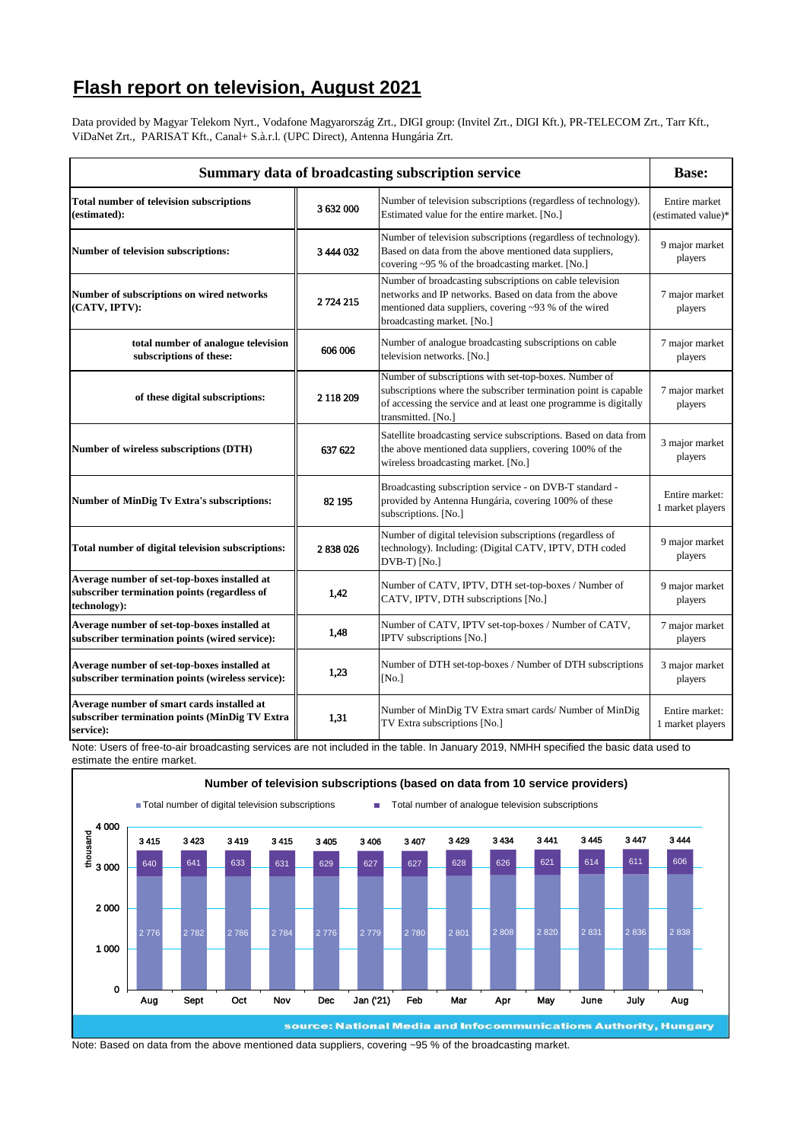## **Flash report on television, August 2021**

Data provided by Magyar Telekom Nyrt., Vodafone Magyarország Zrt., DIGI group: (Invitel Zrt., DIGI Kft.), PR-TELECOM Zrt., Tarr Kft., ViDaNet Zrt., PARISAT Kft., Canal+ S.à.r.l. (UPC Direct), Antenna Hungária Zrt.

| Summary data of broadcasting subscription service                                                            |           |                                                                                                                                                                                                                    |                                     |
|--------------------------------------------------------------------------------------------------------------|-----------|--------------------------------------------------------------------------------------------------------------------------------------------------------------------------------------------------------------------|-------------------------------------|
| <b>Total number of television subscriptions</b><br>(estimated):                                              | 3632000   | Number of television subscriptions (regardless of technology).<br>Estimated value for the entire market. [No.]                                                                                                     | Entire market<br>(estimated value)* |
| Number of television subscriptions:                                                                          | 3 444 032 | Number of television subscriptions (regardless of technology).<br>Based on data from the above mentioned data suppliers,<br>covering ~95 % of the broadcasting market. [No.]                                       | 9 major market<br>players           |
| Number of subscriptions on wired networks<br>(CATV, IPTV):                                                   | 2724215   | Number of broadcasting subscriptions on cable television<br>networks and IP networks. Based on data from the above<br>mentioned data suppliers, covering ~93 % of the wired<br>broadcasting market. [No.]          | 7 major market<br>players           |
| total number of analogue television<br>subscriptions of these:                                               | 606 006   | Number of analogue broadcasting subscriptions on cable<br>television networks. [No.]                                                                                                                               | 7 major market<br>players           |
| of these digital subscriptions:                                                                              | 2 118 209 | Number of subscriptions with set-top-boxes. Number of<br>subscriptions where the subscriber termination point is capable<br>of accessing the service and at least one programme is digitally<br>transmitted. [No.] | 7 major market<br>players           |
| Number of wireless subscriptions (DTH)                                                                       | 637 622   | Satellite broadcasting service subscriptions. Based on data from<br>the above mentioned data suppliers, covering 100% of the<br>wireless broadcasting market. [No.]                                                | 3 major market<br>players           |
| <b>Number of MinDig Tv Extra's subscriptions:</b>                                                            | 82 195    | Broadcasting subscription service - on DVB-T standard -<br>provided by Antenna Hungária, covering 100% of these<br>subscriptions. [No.]                                                                            | Entire market:<br>1 market players  |
| Total number of digital television subscriptions:                                                            | 2838026   | Number of digital television subscriptions (regardless of<br>technology). Including: (Digital CATV, IPTV, DTH coded<br>DVB-T) [No.]                                                                                | 9 major market<br>players           |
| Average number of set-top-boxes installed at<br>subscriber termination points (regardless of<br>technology): | 1,42      | Number of CATV, IPTV, DTH set-top-boxes / Number of<br>CATV, IPTV, DTH subscriptions [No.]                                                                                                                         | 9 major market<br>players           |
| Average number of set-top-boxes installed at<br>subscriber termination points (wired service):               | 1,48      | Number of CATV, IPTV set-top-boxes / Number of CATV,<br>IPTV subscriptions [No.]                                                                                                                                   | 7 major market<br>players           |
| Average number of set-top-boxes installed at<br>subscriber termination points (wireless service):            | 1,23      | Number of DTH set-top-boxes / Number of DTH subscriptions<br>[No.]                                                                                                                                                 | 3 major market<br>players           |
| Average number of smart cards installed at<br>subscriber termination points (MinDig TV Extra<br>service):    | 1,31      | Number of MinDig TV Extra smart cards/ Number of MinDig<br>TV Extra subscriptions [No.]                                                                                                                            | Entire market:<br>1 market players  |

Note: Users of free-to-air broadcasting services are not included in the table. In January 2019, NMHH specified the basic data used to estimate the entire market.



Note: Based on data from the above mentioned data suppliers, covering ~95 % of the broadcasting market.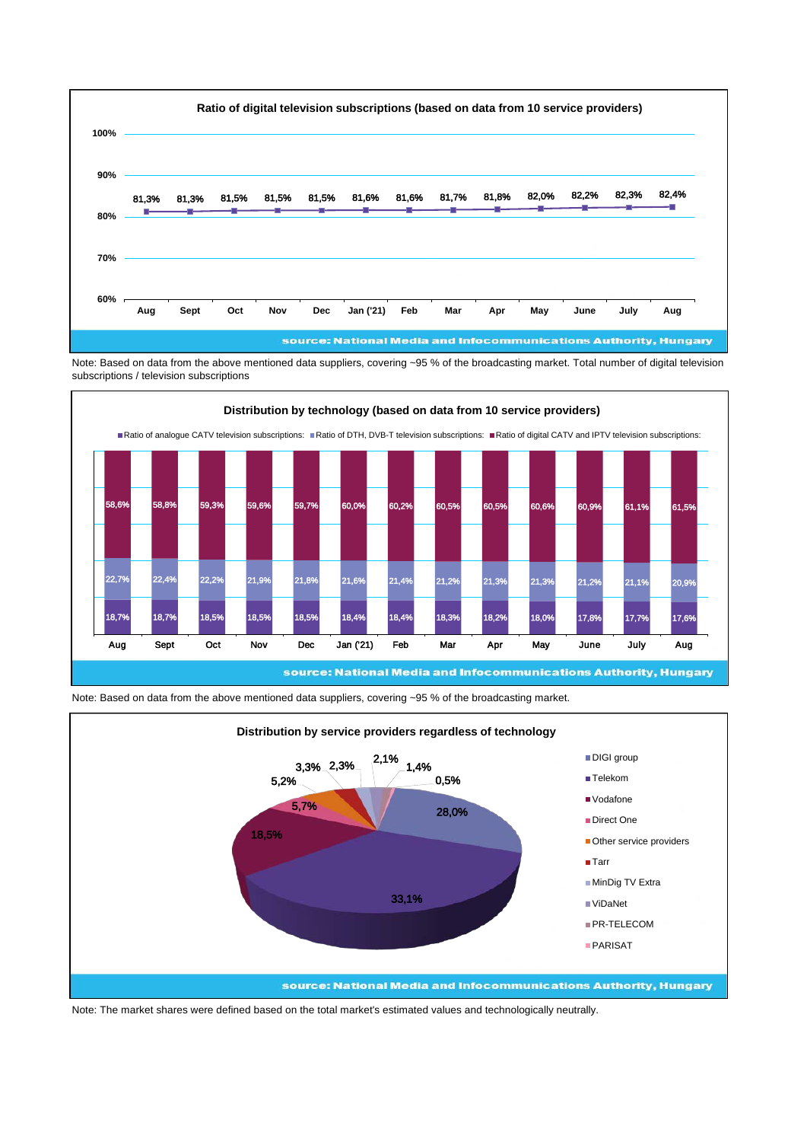

Note: Based on data from the above mentioned data suppliers, covering ~95 % of the broadcasting market. Total number of digital television subscriptions / television subscriptions



Note: Based on data from the above mentioned data suppliers, covering ~95 % of the broadcasting market.



Note: The market shares were defined based on the total market's estimated values and technologically neutrally.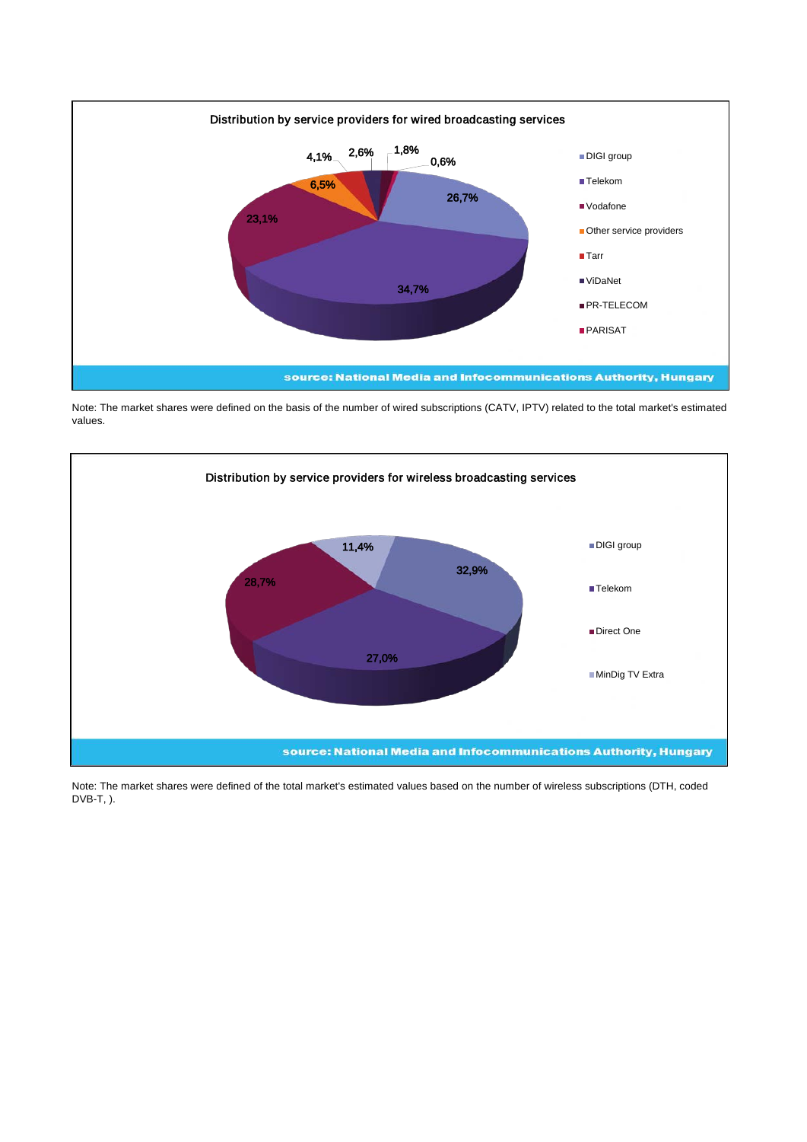

Note: The market shares were defined on the basis of the number of wired subscriptions (CATV, IPTV) related to the total market's estimated values.



Note: The market shares were defined of the total market's estimated values based on the number of wireless subscriptions (DTH, coded DVB-T, ).